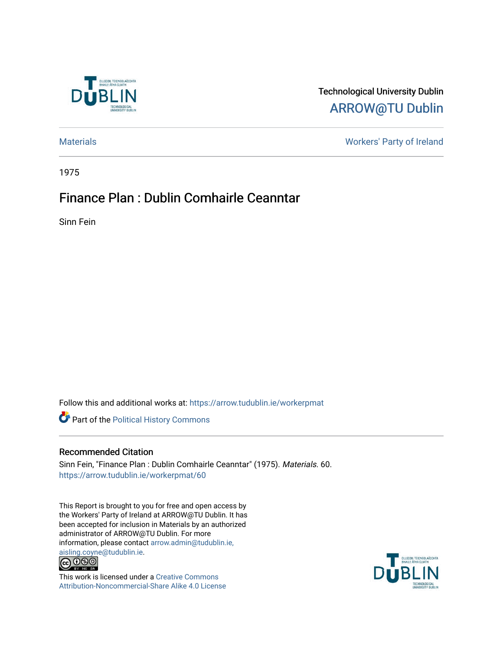

# Technological University Dublin [ARROW@TU Dublin](https://arrow.tudublin.ie/)

[Materials](https://arrow.tudublin.ie/workerpmat) [Workers' Party of Ireland](https://arrow.tudublin.ie/workerp) 

1975

# Finance Plan : Dublin Comhairle Ceanntar

Sinn Fein

Follow this and additional works at: [https://arrow.tudublin.ie/workerpmat](https://arrow.tudublin.ie/workerpmat?utm_source=arrow.tudublin.ie%2Fworkerpmat%2F60&utm_medium=PDF&utm_campaign=PDFCoverPages)

**Part of the Political History Commons** 

## Recommended Citation

Sinn Fein, "Finance Plan : Dublin Comhairle Ceanntar" (1975). Materials. 60. [https://arrow.tudublin.ie/workerpmat/60](https://arrow.tudublin.ie/workerpmat/60?utm_source=arrow.tudublin.ie%2Fworkerpmat%2F60&utm_medium=PDF&utm_campaign=PDFCoverPages) 

This Report is brought to you for free and open access by the Workers' Party of Ireland at ARROW@TU Dublin. It has been accepted for inclusion in Materials by an authorized administrator of ARROW@TU Dublin. For more information, please contact [arrow.admin@tudublin.ie,](mailto:arrow.admin@tudublin.ie,%20aisling.coyne@tudublin.ie)  [aisling.coyne@tudublin.ie.](mailto:arrow.admin@tudublin.ie,%20aisling.coyne@tudublin.ie)<br>  $\bigodot$  0 9 0



This work is licensed under a [Creative Commons](http://creativecommons.org/licenses/by-nc-sa/4.0/) [Attribution-Noncommercial-Share Alike 4.0 License](http://creativecommons.org/licenses/by-nc-sa/4.0/)

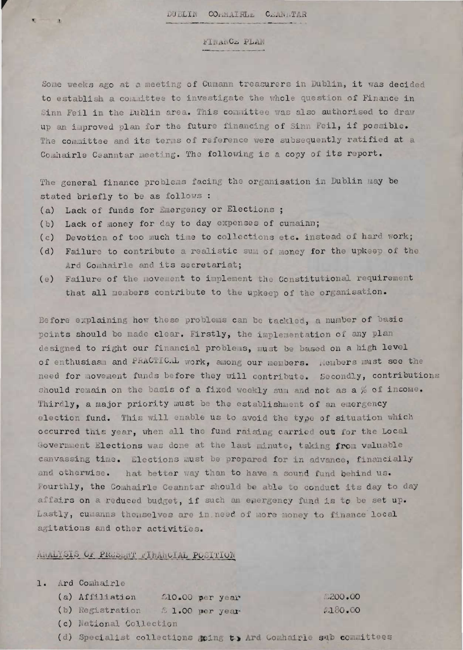## FINANCE PLAN

Some weeks ago at a meeting of Cumann treasurers in Dublin, it was decided to establish a committee to investigate the whole question of Finance in Sinn Feil in the Dublin area. This committee was also authorised to draw up an improved plan for the future financing of Sinn Feil, if possible. The committee and its terms of reference were subsequently ratified at a Comhairle Ceanntar meeting. The following is a copy of its report.

The general finance problems facing the organisation in Dublin may be stated briefly to be as follows :

- (a) Lack of funds for Emergency or Elections :
- Lack of money for day to day expenses of cumainn;  $(b)$
- Devotion of too much time to collections etc. instead of hard work;  $(c)$
- Failure to contribute a realistic sum of money for the upkeep of the  $(d)$ Ard Comhairle and its secretariat;
- (e) Failure of the movement to implement the Constitutional requirement that all members contribute to the upkeep of the organisation.

Before explaining how these problems can be tackled, a number of basic points should be made clear. Firstly, the implementation of any plan designed to right our financial problems, must be based on a high level of enthusiasm and PRACTICAL work, among our members. Members must see the need for movement funds before they will contribute. Secondly, contributions should remain on the basis of a fixed weekly sum and not as a % of income. Thirdly, a major priority must be the establishment of an emergency election fund. This will enable us to avoid the type of situation which occurred this year, when all the fund raising carried out for the Local Government Elections was done at the last minute, taking from valuable canvassing time. Elections must be prepared for in advance, financially and otherwise. hat better way than to have a sound fund behind us. Fourthly, the Comhairle Ceanntar should be able to conduct its day to day affairs on a reduced budget, if such an energency fund is to be set up. Lastly, cumanns themselves are in need of more money to finance local agitations and other activities.

### ARALYSIS OF PRESERT FIRANCIAL POSITION

|  | 1. Ard Comhairle                 |                 |         |
|--|----------------------------------|-----------------|---------|
|  | (a) Affiliation                  | SlO.00 per year | .200.00 |
|  | (b) Registration 6 1.00 per year |                 | 2180.00 |
|  | (c) National Collection          |                 |         |
|  |                                  |                 |         |

(d) Specialist collections aping to Ard Comhairle sub committees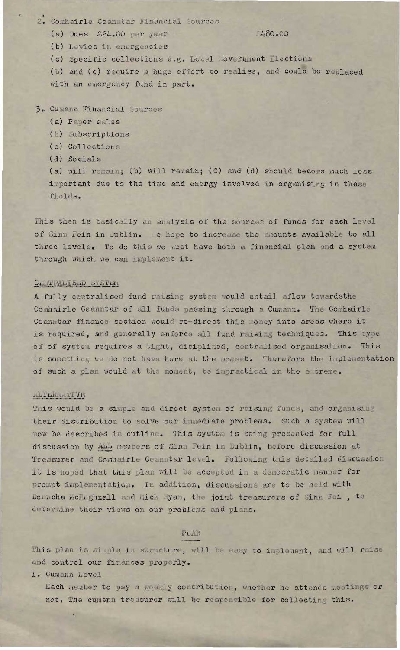2. Comhairle Ceanntar Financial Sources

 $480.00$ 

(a) Dues  $\&24.00$  per year (b) Levies in emergencies

(c) Specific collections e.g. Local Government Elections

(b) and (c) require a huge effort to realise, and could be replaced with an emergency fund in part.

- 3. Cumann Financial Sources
	- (a) Paper sales
	- (b) Subscriptions
	- (c) Collections
	- (d) Socials

(a) will remain; (b) will remain; (C) and (d) should become much less important due to the time and energy involved in organising in these fields.

This then is basically an analysis of the sources of funds for each level of Sinn Fein in Dublin. e hope to increase the amounts available to all three levels. To do this we must have both a financial plan and a system through which we can implement it.

#### CENTRALISED SYSTEM

A fully centralised fund raising system would entail aflow towardsthe Comhairle Ceanntar of all funds passing through a Cumann. The Comhairle Ceanntar finance section would re-direct this money into areas where it is required, and generally enforce all fund raising techniques. This type of of system requires a tight, diciplined, centralised organisation. This is something we do not have here at the moment. Therefore the implementation of such a plan would at the moment, be impractical in the e treme.

#### **ALTERNATIVE**

This would be a simple and direct system of raising funds, and organising their distribution to solve our immediate problems. Such a system will now be described in outline. This system is being presented for full discussion by ALL members of Sinn Fein in Dublin, before discussion at Treasurer and Comhairle Ceanntar level. Following this detailed discussion it is hoped that this plan will be accepted in a democratic manner for prompt implementation. In addition, discussions are to be held with Donncha McRaghnall and hick Ryan, the joint treasurers of Sinn Fei, to determine their views on our problems and plans.

## PLAN

This plan is simple in structure, will be easy to implement, and will raise and control our finances properly.

1. Cumann Level

Each member to pay a weekly contribution, whether he attends meetings or not. The cumann treasurer will be responsible for collecting this.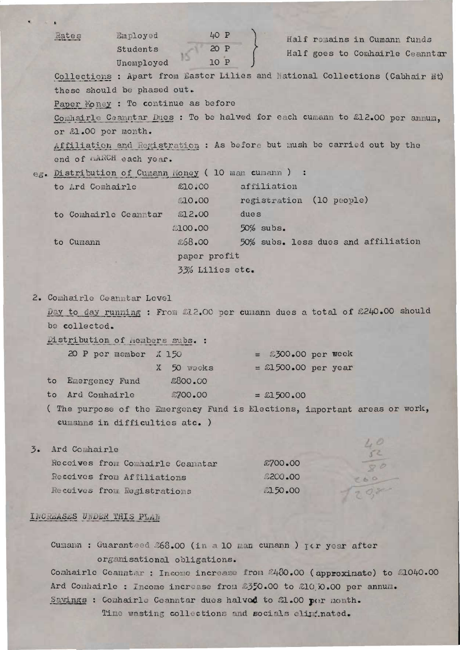|                  | Rates                                                                                                                                                                                | Employed<br>Students<br>Unemployed | 40 P<br>20 P<br>10 P |              |                          | Half remains in Cumann funds<br>Half goes to Comhairle Ceanntar            |  |  |  |  |  |  |
|------------------|--------------------------------------------------------------------------------------------------------------------------------------------------------------------------------------|------------------------------------|----------------------|--------------|--------------------------|----------------------------------------------------------------------------|--|--|--|--|--|--|
|                  |                                                                                                                                                                                      |                                    |                      |              |                          |                                                                            |  |  |  |  |  |  |
|                  | Collections : Apart from Easter Lilies and National Collections (Cabhair Et)<br>these should be phased out.                                                                          |                                    |                      |              |                          |                                                                            |  |  |  |  |  |  |
|                  | Paper Money : To continue as before<br>Comhairle Ceanntar Dues : To be halved for each cumann to £12.00 per annum.                                                                   |                                    |                      |              |                          |                                                                            |  |  |  |  |  |  |
|                  |                                                                                                                                                                                      |                                    |                      |              |                          |                                                                            |  |  |  |  |  |  |
|                  | or £1.00 per month.<br>Affiliation and Registration : As before but mush be carried out by the                                                                                       |                                    |                      |              |                          |                                                                            |  |  |  |  |  |  |
|                  |                                                                                                                                                                                      |                                    |                      |              |                          |                                                                            |  |  |  |  |  |  |
|                  |                                                                                                                                                                                      |                                    |                      |              |                          |                                                                            |  |  |  |  |  |  |
|                  | end of MARCH each year.                                                                                                                                                              |                                    |                      |              |                          |                                                                            |  |  |  |  |  |  |
|                  | eg. Distribution of Cumann Money (10 man cumann ) :                                                                                                                                  |                                    |                      |              |                          |                                                                            |  |  |  |  |  |  |
|                  | to Ard Comhairle                                                                                                                                                                     |                                    | £10.00               | affiliation  |                          |                                                                            |  |  |  |  |  |  |
|                  |                                                                                                                                                                                      |                                    | £10.00               |              | registration (10 people) |                                                                            |  |  |  |  |  |  |
|                  | to Comhairle Ceanntar £12.00                                                                                                                                                         |                                    |                      | dues         |                          |                                                                            |  |  |  |  |  |  |
|                  |                                                                                                                                                                                      |                                    | 2100.00              | $50\%$ subs. |                          |                                                                            |  |  |  |  |  |  |
|                  | to Cumann                                                                                                                                                                            |                                    | £68.00               |              |                          | 50% subs. less dues and affiliation                                        |  |  |  |  |  |  |
|                  |                                                                                                                                                                                      |                                    | paper profit         |              |                          |                                                                            |  |  |  |  |  |  |
|                  |                                                                                                                                                                                      |                                    | 33% Lilies etc.      |              |                          |                                                                            |  |  |  |  |  |  |
|                  |                                                                                                                                                                                      |                                    |                      |              |                          |                                                                            |  |  |  |  |  |  |
|                  | 2. Comhairle Ceanntar Level                                                                                                                                                          |                                    |                      |              |                          |                                                                            |  |  |  |  |  |  |
|                  |                                                                                                                                                                                      |                                    |                      |              |                          | Day to day running : From 212.00 per cumann dues a total of £240.00 should |  |  |  |  |  |  |
|                  | be collected.                                                                                                                                                                        |                                    |                      |              |                          |                                                                            |  |  |  |  |  |  |
|                  | Distribution of nembers subs. :                                                                                                                                                      |                                    |                      |              |                          |                                                                            |  |  |  |  |  |  |
|                  |                                                                                                                                                                                      | 20 P per member X 150              |                      |              | $=$ £300.00 per week     |                                                                            |  |  |  |  |  |  |
|                  |                                                                                                                                                                                      |                                    | X 50 weeks           |              | $=$ 21500.00 per year    |                                                                            |  |  |  |  |  |  |
|                  | to                                                                                                                                                                                   |                                    | £800.00              |              |                          |                                                                            |  |  |  |  |  |  |
|                  | Emergency Fund                                                                                                                                                                       |                                    |                      |              |                          |                                                                            |  |  |  |  |  |  |
|                  | Ard Comhairle<br>to                                                                                                                                                                  |                                    | £700.00              | $=$ £1500.00 |                          |                                                                            |  |  |  |  |  |  |
|                  |                                                                                                                                                                                      | cumanns in difficulties atc. )     |                      |              |                          | (The purpose of the Emergency Fund is Elections, important areas or work,  |  |  |  |  |  |  |
|                  |                                                                                                                                                                                      |                                    |                      |              |                          |                                                                            |  |  |  |  |  |  |
| $\overline{3}$ . | Ard Comhairle                                                                                                                                                                        |                                    |                      |              |                          |                                                                            |  |  |  |  |  |  |
|                  | Receives from Comhairle Ceanntar                                                                                                                                                     |                                    |                      | £700.00      |                          |                                                                            |  |  |  |  |  |  |
|                  | Receives from Affiliations                                                                                                                                                           |                                    |                      | 2200.00      |                          |                                                                            |  |  |  |  |  |  |
|                  | Receives from Registrations                                                                                                                                                          |                                    |                      | 2150.00      |                          |                                                                            |  |  |  |  |  |  |
|                  |                                                                                                                                                                                      |                                    |                      |              |                          |                                                                            |  |  |  |  |  |  |
|                  | INCREASES UNDER THIS PLAN                                                                                                                                                            |                                    |                      |              |                          |                                                                            |  |  |  |  |  |  |
|                  |                                                                                                                                                                                      |                                    |                      |              |                          |                                                                            |  |  |  |  |  |  |
|                  | Cumann: Guaranteed 268.00 (in a 10 man cumann ) yer year after                                                                                                                       |                                    |                      |              |                          |                                                                            |  |  |  |  |  |  |
|                  | organisational obligations.<br>Comhairle Ceanntar : Income increase from £480.00 (approximate) to £1040.00<br>Ard Comhairle : Income increase from \$350.00 to \$10,00.00 per annum. |                                    |                      |              |                          |                                                                            |  |  |  |  |  |  |
|                  |                                                                                                                                                                                      |                                    |                      |              |                          |                                                                            |  |  |  |  |  |  |
|                  |                                                                                                                                                                                      |                                    |                      |              |                          |                                                                            |  |  |  |  |  |  |
|                  |                                                                                                                                                                                      |                                    |                      |              |                          |                                                                            |  |  |  |  |  |  |
|                  | Savings : Comhairle Ceanntar dues halved to £1.00 per month.<br>Time wasting collections and socials eliptinated.                                                                    |                                    |                      |              |                          |                                                                            |  |  |  |  |  |  |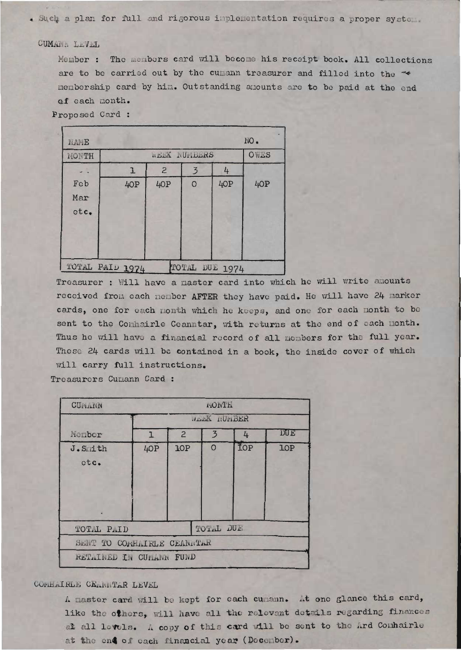. Such a plan for full and rigorous implementation requires a proper system.

## CUMANA LEVEL

Member : The members card will become his receipt book. All collections are to be carried out by the cumann treasurer and filled into the " membership card by him. Outstanding amounts are to be paid at the end of each month.

Proposed Card:

| NAME            |     |                |                |                | FIO. |
|-----------------|-----|----------------|----------------|----------------|------|
| MONTH           |     | OWES           |                |                |      |
|                 | ı   | $\overline{c}$ | $\overline{3}$ | 4              |      |
| Feb             | 40P | 40P            | $\circ$        | 4OP            | 40P  |
| Mar             |     |                |                |                |      |
| etc.            |     |                |                |                |      |
|                 |     |                |                |                |      |
|                 |     |                |                |                |      |
|                 |     |                |                |                |      |
| TOTAL PAID 1974 |     |                |                | TOTAL DUE 1974 |      |

Treasurer : Will have a master card into which he will write amounts received from each member AFTER they have paid. He will have 24 marker cards, one for each nonth which he keeps, and one for each nonth to be sent to the Comhairle Ceanntar, with returns at the end of each month. Thus he will have a financial record of all members for the full year. These 24 cards will be contained in a book, the inside cover of which will carry full instructions.

Treasurers Cumann Card :

| CUPLAIN                     |             | FIONTH.        |          |     |            |  |  |  |  |  |  |
|-----------------------------|-------------|----------------|----------|-----|------------|--|--|--|--|--|--|
|                             | JEEK RUNDER |                |          |     |            |  |  |  |  |  |  |
| Member                      | T.          | $\overline{2}$ | 3        | 4   | <b>DUE</b> |  |  |  |  |  |  |
| J.S.ith<br>otc.             | 40P         | <b>1OP</b>     | $\Omega$ | TOP | <b>LOP</b> |  |  |  |  |  |  |
| TOTAL DUE<br>TOTAL PAID     |             |                |          |     |            |  |  |  |  |  |  |
| SENT TO CORFILIRES CEANITAR |             |                |          |     |            |  |  |  |  |  |  |
| RETAINED IN CUPANN FUND     |             |                |          |     |            |  |  |  |  |  |  |

### CONFLAIRLE CELLITAR LEVEL

A master card will be kept for each cumann. At one glance this card, like the others, will have all the relevant details regarding finances at all levels. A copy of this card vill be sent to the Ard Comhairle at the end of cach financial year (December).